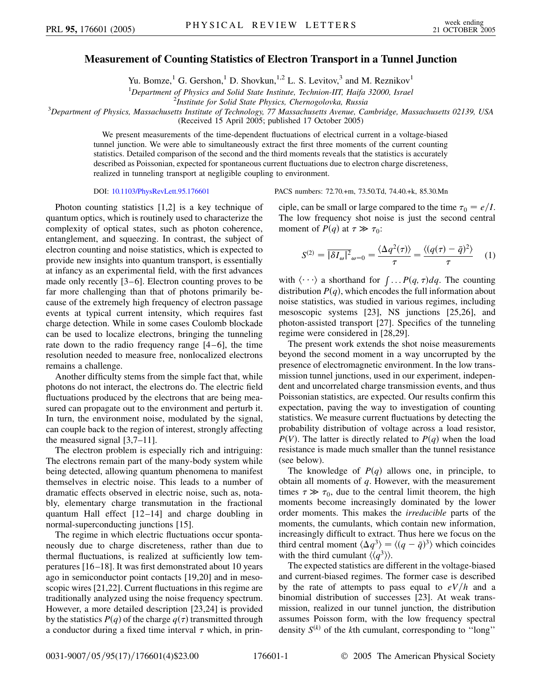## **Measurement of Counting Statistics of Electron Transport in a Tunnel Junction**

Yu. Bomze,<sup>1</sup> G. Gershon,<sup>1</sup> D. Shovkun,<sup>1,2</sup> L. S. Levitov,<sup>3</sup> and M. Reznikov<sup>1</sup>

<sup>1</sup>Department of Physics and Solid State Institute, Technion-IIT, Haifa 32000, Israel<br><sup>2</sup>Institute for Solid State Physics, Chernogolovka, Pussia

*Institute for Solid State Physics, Chernogolovka, Russia* <sup>3</sup> *Department of Physics, Massachusetts Institute of Technology, 77 Massachusetts Avenue, Cambridge, Massachusetts 02139, USA*

(Received 15 April 2005; published 17 October 2005)

We present measurements of the time-dependent fluctuations of electrical current in a voltage-biased tunnel junction. We were able to simultaneously extract the first three moments of the current counting statistics. Detailed comparison of the second and the third moments reveals that the statistics is accurately described as Poissonian, expected for spontaneous current fluctuations due to electron charge discreteness, realized in tunneling transport at negligible coupling to environment.

Photon counting statistics [1,2] is a key technique of quantum optics, which is routinely used to characterize the complexity of optical states, such as photon coherence, entanglement, and squeezing. In contrast, the subject of electron counting and noise statistics, which is expected to provide new insights into quantum transport, is essentially at infancy as an experimental field, with the first advances made only recently [3–6]. Electron counting proves to be far more challenging than that of photons primarily because of the extremely high frequency of electron passage events at typical current intensity, which requires fast charge detection. While in some cases Coulomb blockade can be used to localize electrons, bringing the tunneling rate down to the radio frequency range [4–6], the time resolution needed to measure free, nonlocalized electrons remains a challenge.

Another difficulty stems from the simple fact that, while photons do not interact, the electrons do. The electric field fluctuations produced by the electrons that are being measured can propagate out to the environment and perturb it. In turn, the environment noise, modulated by the signal, can couple back to the region of interest, strongly affecting the measured signal [3,7–11].

The electron problem is especially rich and intriguing: The electrons remain part of the many-body system while being detected, allowing quantum phenomena to manifest themselves in electric noise. This leads to a number of dramatic effects observed in electric noise, such as, notably, elementary charge transmutation in the fractional quantum Hall effect [12 –14] and charge doubling in normal-superconducting junctions [15].

The regime in which electric fluctuations occur spontaneously due to charge discreteness, rather than due to thermal fluctuations, is realized at sufficiently low temperatures [16 –18]. It was first demonstrated about 10 years ago in semiconductor point contacts [19,20] and in mesoscopic wires [21,22]. Current fluctuations in this regime are traditionally analyzed using the noise frequency spectrum. However, a more detailed description [23,24] is provided by the statistics  $P(q)$  of the charge  $q(\tau)$  transmitted through a conductor during a fixed time interval  $\tau$  which, in prin-

DOI: [10.1103/PhysRevLett.95.176601](http://dx.doi.org/10.1103/PhysRevLett.95.176601) PACS numbers: 72.70.+m, 73.50.Td, 74.40.+k, 85.30.Mn

ciple, can be small or large compared to the time  $\tau_0 = e/I$ . The low frequency shot noise is just the second central moment of *P*(*q*) at  $\tau \gg \tau_0$ :

$$
S^{(2)} = \overline{|\delta I_{\omega}|^2}_{\omega=0} = \frac{\langle \Delta q^2(\tau) \rangle}{\tau} = \frac{\langle (q(\tau) - \bar{q})^2 \rangle}{\tau} \tag{1}
$$

with  $\langle \cdots \rangle$  a shorthand for  $\int \ldots P(q, \tau) dq$ . The counting distribution  $P(q)$ , which encodes the full information about noise statistics, was studied in various regimes, including mesoscopic systems [23], NS junctions [25,26], and photon-assisted transport [27]. Specifics of the tunneling regime were considered in [28,29].

The present work extends the shot noise measurements beyond the second moment in a way uncorrupted by the presence of electromagnetic environment. In the low transmission tunnel junctions, used in our experiment, independent and uncorrelated charge transmission events, and thus Poissonian statistics, are expected. Our results confirm this expectation, paving the way to investigation of counting statistics. We measure current fluctuations by detecting the probability distribution of voltage across a load resistor,  $P(V)$ . The latter is directly related to  $P(q)$  when the load resistance is made much smaller than the tunnel resistance (see below).

The knowledge of  $P(q)$  allows one, in principle, to obtain all moments of *q*. However, with the measurement times  $\tau \gg \tau_0$ , due to the central limit theorem, the high moments become increasingly dominated by the lower order moments. This makes the *irreducible* parts of the moments, the cumulants, which contain new information, increasingly difficult to extract. Thus here we focus on the third central moment  $\langle \Delta q^3 \rangle = \langle (q - \bar{q})^3 \rangle$  which coincides with the third cumulant  $\langle \langle q^3 \rangle \rangle$ .

The expected statistics are different in the voltage-biased and current-biased regimes. The former case is described by the rate of attempts to pass equal to  $eV/h$  and a binomial distribution of successes [23]. At weak transmission, realized in our tunnel junction, the distribution assumes Poisson form, with the low frequency spectral density  $S^{(k)}$  of the *k*th cumulant, corresponding to "long"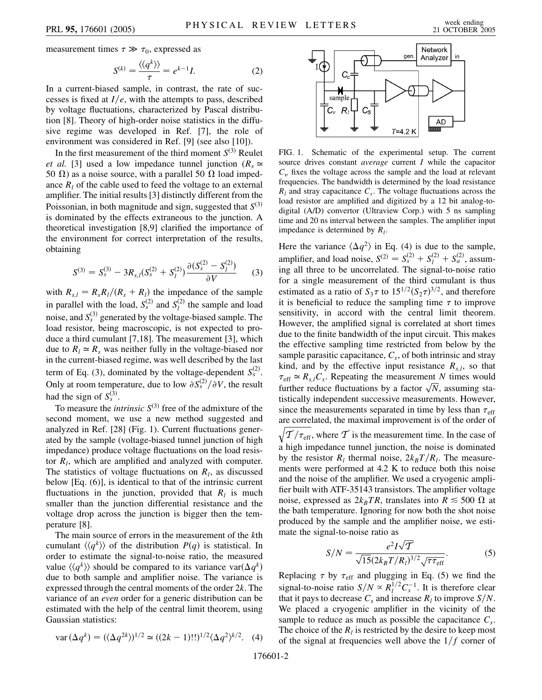measurement times  $\tau \gg \tau_0$ , expressed as

$$
S^{(k)} = \frac{\langle \langle q^k \rangle \rangle}{\tau} = e^{k-1} I. \tag{2}
$$

In a current-biased sample, in contrast, the rate of successes is fixed at  $I/e$ , with the attempts to pass, described by voltage fluctuations, characterized by Pascal distribution [8]. Theory of high-order noise statistics in the diffusive regime was developed in Ref. [7], the role of environment was considered in Ref. [9] (see also [10]).

In the first measurement of the third moment  $S^{(3)}$  Reulet *et al.* [3] used a low impedance tunnel junction ( $R_s \simeq$ 50  $\Omega$ ) as a noise source, with a parallel 50  $\Omega$  load impedance  $R_l$  of the cable used to feed the voltage to an external amplifier. The initial results [3] distinctly different from the Poissonian, in both magnitude and sign, suggested that  $S^{(3)}$ is dominated by the effects extraneous to the junction. A theoretical investigation [8,9] clarified the importance of the environment for correct interpretation of the results, obtaining

$$
S^{(3)} = S_s^{(3)} - 3R_{s,l}(S_s^{(2)} + S_l^{(2)}) \frac{\partial (S_s^{(2)} - S_l^{(2)})}{\partial V} \qquad (3)
$$

with  $R_{s,l} = R_s R_l / (R_s + R_l)$  the impedance of the sample in parallel with the load,  $S_s^{(2)}$  and  $S_l^{(2)}$  the sample and load noise, and  $S_s^{(3)}$  generated by the voltage-biased sample. The load resistor, being macroscopic, is not expected to produce a third cumulant [7,18]. The measurement [3], which due to  $R_1 \simeq R_s$  was neither fully in the voltage-biased nor in the current-biased regime, was well described by the last term of Eq. (3), dominated by the voltage-dependent  $S_5^{(2)}$ . Only at room temperature, due to low  $\partial S_s^{(2)}/\partial V$ , the result had the sign of  $S_s^{(3)}$ .

To measure the *intrinsic*  $S^{(3)}$  free of the admixture of the second moment, we use a new method suggested and analyzed in Ref. [28] (Fig. 1). Current fluctuations generated by the sample (voltage-biased tunnel junction of high impedance) produce voltage fluctuations on the load resistor  $R_l$ , which are amplified and analyzed with computer. The statistics of voltage fluctuations on  $R_l$ , as discussed below [Eq. (6)], is identical to that of the intrinsic current fluctuations in the junction, provided that  $R_l$  is much smaller than the junction differential resistance and the voltage drop across the junction is bigger then the temperature [8].

The main source of errors in the measurement of the *k*th cumulant  $\langle \langle q^k \rangle \rangle$  of the distribution *P*(*q*) is statistical. In order to estimate the signal-to-noise ratio, the measured value  $\langle \langle q^k \rangle \rangle$  should be compared to its variance var $(\Delta q^k)$ due to both sample and amplifier noise. The variance is expressed through the central moments of the order 2*k*. The variance of an *even* order for a generic distribution can be estimated with the help of the central limit theorem, using Gaussian statistics:

$$
var(\Delta q^k) = (\langle \Delta q^{2k} \rangle)^{1/2} \simeq ((2k - 1)!!)^{1/2} \langle \Delta q^2 \rangle^{k/2}. \tag{4}
$$



FIG. 1. Schematic of the experimental setup. The current source drives constant *average* current *I* while the capacitor  $C_v$  fixes the voltage across the sample and the load at relevant frequencies. The bandwidth is determined by the load resistance  $R_l$  and stray capacitance  $C_s$ . The voltage fluctuations across the load resistor are amplified and digitized by a 12 bit analog-todigital (A/D) convertor (Ultraview Corp.) with 5 ns sampling time and 20 ns interval between the samples. The amplifier input impedance is determined by *Rl*.

Here the variance  $\langle \Delta q^2 \rangle$  in Eq. (4) is due to the sample, amplifier, and load noise,  $S^{(2)} = S_s^{(2)} + S_l^{(2)} + S_a^{(2)}$ , assuming all three to be uncorrelated. The signal-to-noise ratio for a single measurement of the third cumulant is thus estimated as a ratio of  $S_3 \tau$  to  $15^{1/2} (S_2 \tau)^{3/2}$ , and therefore it is beneficial to reduce the sampling time  $\tau$  to improve sensitivity, in accord with the central limit theorem. However, the amplified signal is correlated at short times due to the finite bandwidth of the input circuit. This makes the effective sampling time restricted from below by the sample parasitic capacitance,  $C_s$ , of both intrinsic and stray kind, and by the effective input resistance  $R_{s,l}$ , so that  $\tau_{\text{eff}} \simeq R_{s,l}C_s$ . Repeating the measurement *N* times would  $\tau_{\text{eff}} = \kappa_{s,I} c_s$ . Repeating the measurement *N* times would<br>further reduce fluctuations by a factor  $\sqrt{N}$ , assuming statistically independent successive measurements. However, since the measurements separated in time by less than  $\tau_{\text{eff}}$ are correlated, the maximal improvement is of the order of

 $\sqrt{\frac{T}{\tau_{\text{eff}}}}$ , where T is the measurement time. In the case of a high impedance tunnel junction, the noise is dominated by the resistor  $R_l$  thermal noise,  $2k_B T/R_l$ . The measurements were performed at 4.2 K to reduce both this noise and the noise of the amplifier. We used a cryogenic amplifier built with ATF-35143 transistors. The amplifier voltage noise, expressed as  $2k_BTR$ , translates into  $R \le 500 \Omega$  at the bath temperature. Ignoring for now both the shot noise produced by the sample and the amplifier noise, we estimate the signal-to-noise ratio as

$$
S/N = \frac{e^2 I \sqrt{T}}{\sqrt{15} (2k_B T/R_l)^{3/2} \sqrt{\tau \tau_{\text{eff}}}}.
$$
 (5)

Replacing  $\tau$  by  $\tau_{\text{eff}}$  and plugging in Eq. (5) we find the signal-to-noise ratio  $S/N \propto R_l^{1/2} C_s^{-1}$ . It is therefore clear that it pays to decrease  $C_s$  and increase  $R_l$  to improve  $S/N$ . We placed a cryogenic amplifier in the vicinity of the sample to reduce as much as possible the capacitance  $C_s$ . The choice of the  $R_l$  is restricted by the desire to keep most of the signal at frequencies well above the  $1/f$  corner of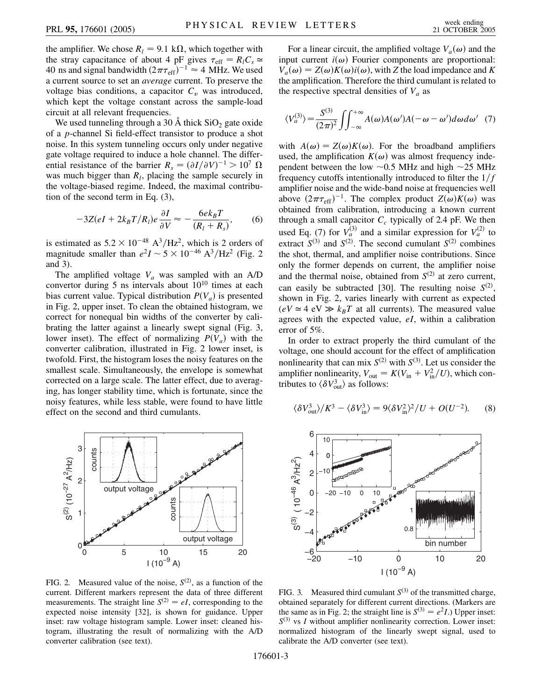the amplifier. We chose  $R_l = 9.1 \text{ k}\Omega$ , which together with the stray capacitance of about 4 pF gives  $\tau_{\text{eff}} = R_l C_s \approx$ 40 ns and signal bandwidth  $(2\pi\tau_{\text{eff}})^{-1} \approx 4$  MHz. We used a current source to set an *average* current. To preserve the voltage bias conditions, a capacitor  $C_v$  was introduced, which kept the voltage constant across the sample-load circuit at all relevant frequencies.

We used tunneling through a 30  $\AA$  thick SiO<sub>2</sub> gate oxide of a *p*-channel Si field-effect transistor to produce a shot noise. In this system tunneling occurs only under negative gate voltage required to induce a hole channel. The differential resistance of the barrier  $R_s = (\partial I / \partial V)^{-1} > 10^7 \Omega$ was much bigger than  $R_l$ , placing the sample securely in the voltage-biased regime. Indeed, the maximal contribution of the second term in Eq. (3),

$$
-3Z(eI + 2k_B T/R_l)e\frac{\partial I}{\partial V} \approx -\frac{6ek_B T}{(R_l + R_s)},\qquad(6)
$$

is estimated as  $5.2 \times 10^{-48}$  A<sup>3</sup>/Hz<sup>2</sup>, which is 2 orders of magnitude smaller than  $e^2I \sim 5 \times 10^{-46}$  A<sup>3</sup>/Hz<sup>2</sup> (Fig. 2) and 3).

The amplified voltage  $V_a$  was sampled with an A/D convertor during 5 ns intervals about  $10^{10}$  times at each bias current value. Typical distribution  $P(V_a)$  is presented in Fig. 2, upper inset. To clean the obtained histogram, we correct for nonequal bin widths of the converter by calibrating the latter against a linearly swept signal (Fig. 3, lower inset). The effect of normalizing  $P(V_a)$  with the converter calibration, illustrated in Fig. 2 lower inset, is twofold. First, the histogram loses the noisy features on the smallest scale. Simultaneously, the envelope is somewhat corrected on a large scale. The latter effect, due to averaging, has longer stability time, which is fortunate, since the noisy features, while less stable, were found to have little effect on the second and third cumulants.



FIG. 2. Measured value of the noise,  $S^{(2)}$ , as a function of the current. Different markers represent the data of three different measurements. The straight line  $S^{(2)} = eI$ , corresponding to the expected noise intensity [32], is shown for guidance. Upper inset: raw voltage histogram sample. Lower inset: cleaned histogram, illustrating the result of normalizing with the A/D converter calibration (see text).

For a linear circuit, the amplified voltage  $V_a(\omega)$  and the input current  $i(\omega)$  Fourier components are proportional:  $V_a(\omega) = Z(\omega)K(\omega)i(\omega)$ , with *Z* the load impedance and *K* the amplification. Therefore the third cumulant is related to the respective spectral densities of  $V_a$  as

$$
\langle V_a^{(3)} \rangle = \frac{S^{(3)}}{(2\pi)^2} \iint_{-\infty}^{+\infty} A(\omega) A(\omega') A(-\omega - \omega') d\omega d\omega' \tag{7}
$$

with  $A(\omega) = Z(\omega)K(\omega)$ . For the broadband amplifiers used, the amplification  $K(\omega)$  was almost frequency independent between the low  $\sim 0.5$  MHz and high  $\sim 25$  MHz frequency cutoffs intentionally introduced to filter the  $1/f$ amplifier noise and the wide-band noise at frequencies well above  $(2\pi\tau_{\text{eff}})^{-1}$ . The complex product  $Z(\omega)K(\omega)$  was obtained from calibration, introducing a known current through a small capacitor  $C_c$  typically of 2.4 pF. We then used Eq. (7) for  $V_a^{(3)}$  and a similar expression for  $V_a^{(2)}$  to extract  $S^{(3)}$  and  $S^{(2)}$ . The second cumulant  $S^{(2)}$  combines the shot, thermal, and amplifier noise contributions. Since only the former depends on current, the amplifier noise and the thermal noise, obtained from  $S^{(2)}$  at zero current, can easily be subtracted [30]. The resulting noise  $S^{(2)}$ , shown in Fig. 2, varies linearly with current as expected  $(eV \approx 4$  eV  $\gg k_BT$  at all currents). The measured value agrees with the expected value, *eI*, within a calibration error of 5%.

In order to extract properly the third cumulant of the voltage, one should account for the effect of amplification nonlinearity that can mix  $S^{(2)}$  with  $S^{(3)}$ . Let us consider the amplifier nonlinearity,  $V_{\text{out}} = K(V_{\text{in}} + V_{\text{in}}^2/U)$ , which contributes to  $\langle \delta V_{\text{out}}^3 \rangle$  as follows:

$$
\langle \delta V_{\text{out}}^3 \rangle / K^3 - \langle \delta V_{\text{in}}^3 \rangle = 9 \langle \delta V_{\text{in}}^2 \rangle^2 / U + O(U^{-2}). \tag{8}
$$



FIG. 3. Measured third cumulant  $S^{(3)}$  of the transmitted charge, obtained separately for different current directions. (Markers are the same as in Fig. 2; the straight line is  $S^{(3)} = e^2 I$ .) Upper inset:  $S^{(3)}$  vs *I* without amplifier nonlinearity correction. Lower inset: normalized histogram of the linearly swept signal, used to calibrate the A/D converter (see text).